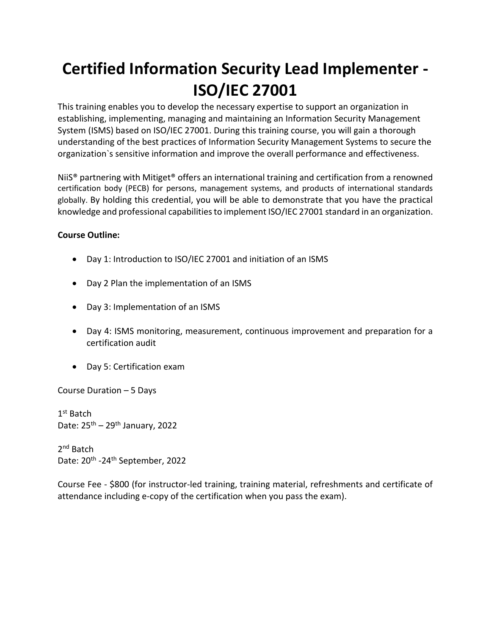# **Certified Information Security Lead Implementer - ISO/IEC 27001**

This training enables you to develop the necessary expertise to support an organization in establishing, implementing, managing and maintaining an Information Security Management System (ISMS) based on ISO/IEC 27001. During this training course, you will gain a thorough understanding of the best practices of Information Security Management Systems to secure the organization`s sensitive information and improve the overall performance and effectiveness.

NiiS® partnering with Mitiget® offers an international training and certification from a renowned certification body (PECB) for persons, management systems, and products of international standards globally. By holding this credential, you will be able to demonstrate that you have the practical knowledge and professional capabilities to implement ISO/IEC 27001 standard in an organization.

### **Course Outline:**

- Day 1: Introduction to ISO/IEC 27001 and initiation of an ISMS
- Day 2 Plan the implementation of an ISMS
- Day 3: Implementation of an ISMS
- Day 4: ISMS monitoring, measurement, continuous improvement and preparation for a certification audit
- Day 5: Certification exam

Course Duration – 5 Days

1st Batch Date:  $25^{th}$  –  $29^{th}$  January, 2022

2<sup>nd</sup> Batch Date: 20<sup>th</sup> -24<sup>th</sup> September, 2022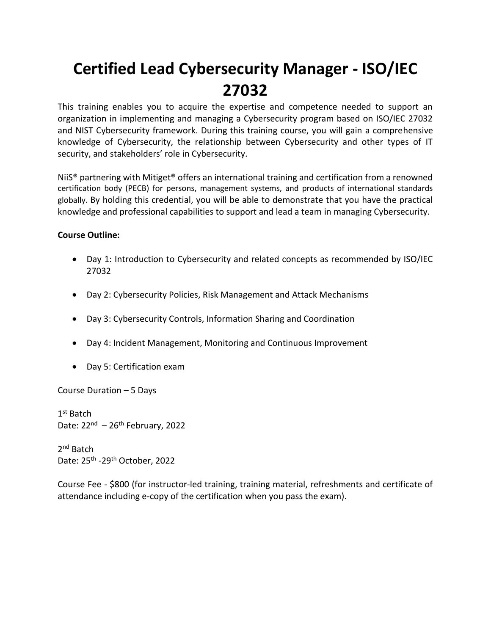# **Certified Lead Cybersecurity Manager - ISO/IEC 27032**

This training enables you to acquire the expertise and competence needed to support an organization in implementing and managing a Cybersecurity program based on ISO/IEC 27032 and NIST Cybersecurity framework. During this training course, you will gain a comprehensive knowledge of Cybersecurity, the relationship between Cybersecurity and other types of IT security, and stakeholders' role in Cybersecurity.

NiiS® partnering with Mitiget® offers an international training and certification from a renowned certification body (PECB) for persons, management systems, and products of international standards globally. By holding this credential, you will be able to demonstrate that you have the practical knowledge and professional capabilities to support and lead a team in managing Cybersecurity.

### **Course Outline:**

- Day 1: Introduction to Cybersecurity and related concepts as recommended by ISO/IEC 27032
- Day 2: Cybersecurity Policies, Risk Management and Attack Mechanisms
- Day 3: Cybersecurity Controls, Information Sharing and Coordination
- Day 4: Incident Management, Monitoring and Continuous Improvement
- Day 5: Certification exam

Course Duration – 5 Days

1st Batch Date: 22<sup>nd</sup> - 26<sup>th</sup> February, 2022

2<sup>nd</sup> Batch Date: 25<sup>th</sup> -29<sup>th</sup> October, 2022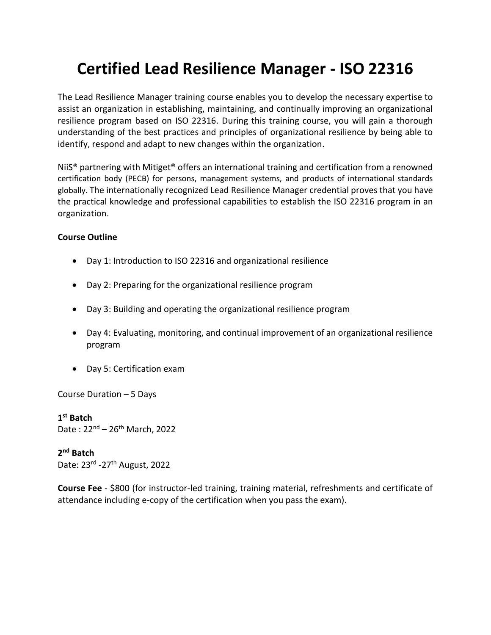## **Certified Lead Resilience Manager - ISO 22316**

The Lead Resilience Manager training course enables you to develop the necessary expertise to assist an organization in establishing, maintaining, and continually improving an organizational resilience program based on ISO 22316. During this training course, you will gain a thorough understanding of the best practices and principles of organizational resilience by being able to identify, respond and adapt to new changes within the organization.

NiiS® partnering with Mitiget® offers an international training and certification from a renowned certification body (PECB) for persons, management systems, and products of international standards globally. The internationally recognized Lead Resilience Manager credential proves that you have the practical knowledge and professional capabilities to establish the ISO 22316 program in an organization.

#### **Course Outline**

- Day 1: Introduction to ISO 22316 and organizational resilience
- Day 2: Preparing for the organizational resilience program
- Day 3: Building and operating the organizational resilience program
- Day 4: Evaluating, monitoring, and continual improvement of an organizational resilience program
- Day 5: Certification exam

Course Duration – 5 Days

**1 st Batch**  Date:  $22^{nd} - 26^{th}$  March, 2022

**2 nd Batch** Date: 23<sup>rd</sup> -27<sup>th</sup> August, 2022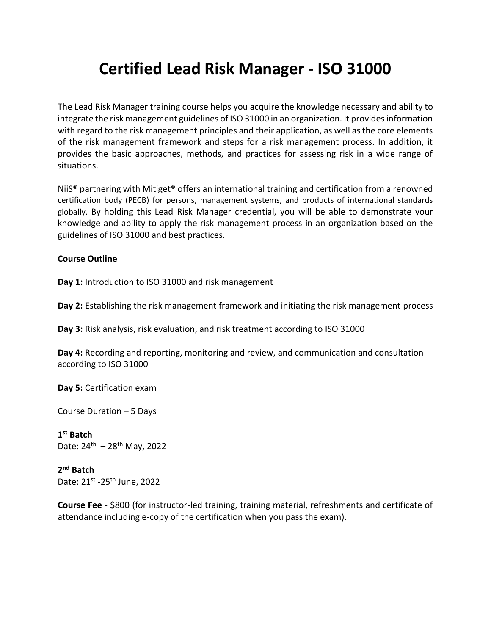## **Certified Lead Risk Manager - ISO 31000**

The Lead Risk Manager training course helps you acquire the knowledge necessary and ability to integrate the risk management guidelines of ISO 31000 in an organization. It provides information with regard to the risk management principles and their application, as well as the core elements of the risk management framework and steps for a risk management process. In addition, it provides the basic approaches, methods, and practices for assessing risk in a wide range of situations.

NiiS® partnering with Mitiget® offers an international training and certification from a renowned certification body (PECB) for persons, management systems, and products of international standards globally. By holding this Lead Risk Manager credential, you will be able to demonstrate your knowledge and ability to apply the risk management process in an organization based on the guidelines of ISO 31000 and best practices.

#### **Course Outline**

**Day 1:** Introduction to ISO 31000 and risk management

**Day 2:** Establishing the risk management framework and initiating the risk management process

**Day 3:** Risk analysis, risk evaluation, and risk treatment according to ISO 31000

**Day 4:** Recording and reporting, monitoring and review, and communication and consultation according to ISO 31000

**Day 5:** Certification exam

Course Duration – 5 Days

**1 st Batch**  Date: 24<sup>th</sup> – 28<sup>th</sup> May, 2022

**2 nd Batch** Date: 21st -25<sup>th</sup> June, 2022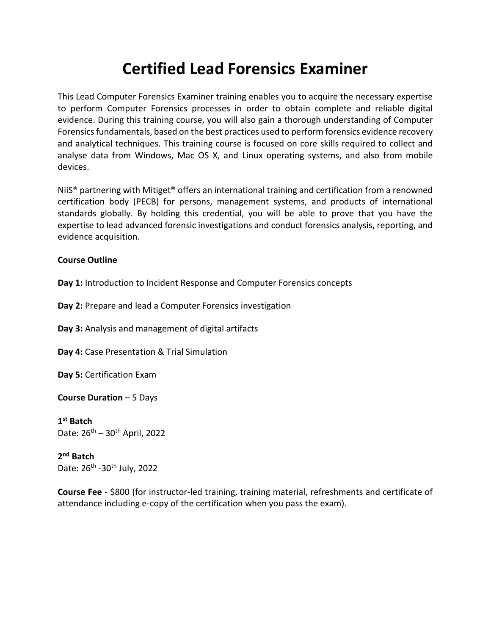### **Certified Lead Forensics Examiner**

This Lead Computer Forensics Examiner training enables you to acquire the necessary expertise to perform Computer Forensics processes in order to obtain complete and reliable digital evidence. During this training course, you will also gain a thorough understanding of Computer Forensics fundamentals, based on the best practices used to perform forensics evidence recovery and analytical techniques. This training course is focused on core skills required to collect and analyse data from Windows, Mac OS X, and Linux operating systems, and also from mobile devices.

NiiS® partnering with Mitiget® offers an international training and certification from a renowned certification body (PECB) for persons, management systems, and products of international standards globally. By holding this credential, you will be able to prove that you have the expertise to lead advanced forensic investigations and conduct forensics analysis, reporting, and evidence acquisition.

### **Course Outline**

**Day 1:** Introduction to Incident Response and Computer Forensics concepts

**Day 2:** Prepare and lead a Computer Forensics investigation

**Day 3:** Analysis and management of digital artifacts

**Day 4:** Case Presentation & Trial Simulation

**Day 5:** Certification Exam

**Course Duration** – 5 Days

**1 st Batch**  Date:  $26^{th} - 30^{th}$  April, 2022

**2 nd Batch** Date: 26<sup>th</sup> -30<sup>th</sup> July, 2022